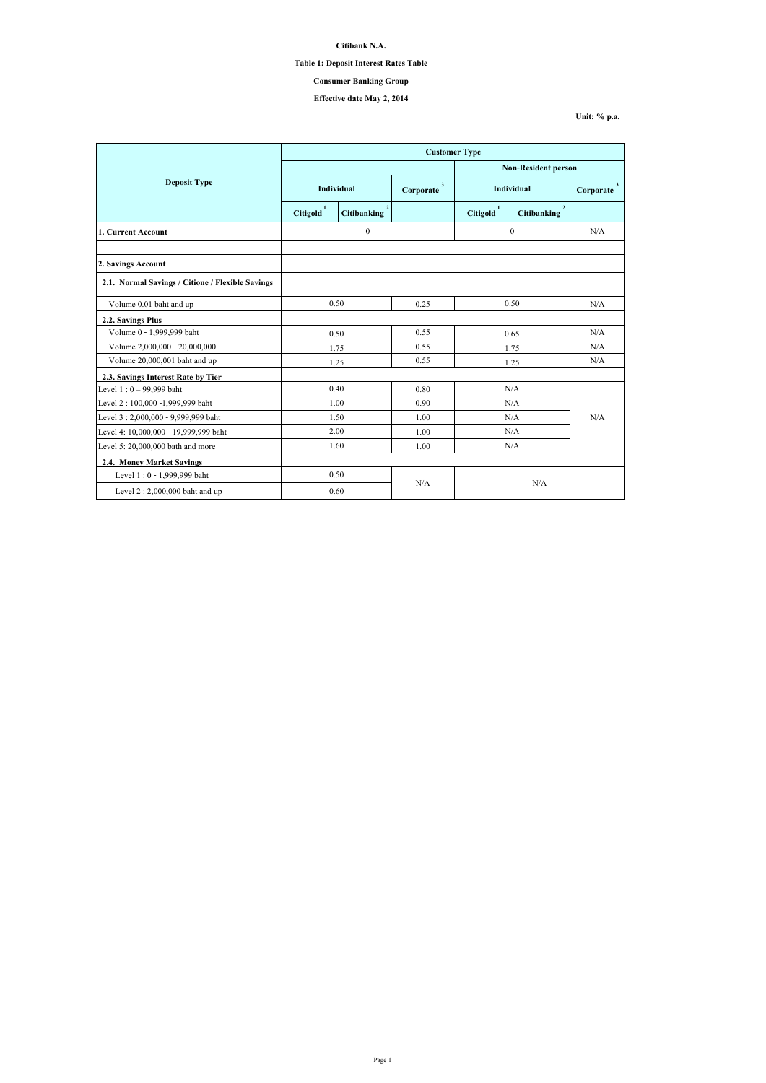|                                                  | <b>Customer Type</b> |                                      |                |                            |                                      |                           |
|--------------------------------------------------|----------------------|--------------------------------------|----------------|----------------------------|--------------------------------------|---------------------------|
|                                                  |                      |                                      |                | <b>Non-Resident person</b> |                                      |                           |
| <b>Deposit Type</b>                              | <b>Individual</b>    |                                      | 3<br>Corporate | <b>Individual</b>          |                                      | $\mathbf{3}$<br>Corporate |
|                                                  | <b>Citigold</b>      | $\overline{2}$<br><b>Citibanking</b> |                | Citigold <sup>1</sup>      | $\overline{2}$<br><b>Citibanking</b> |                           |
| 1. Current Account                               | $\boldsymbol{0}$     |                                      | $\mathbf{0}$   |                            | N/A                                  |                           |
|                                                  |                      |                                      |                |                            |                                      |                           |
| 2. Savings Account                               |                      |                                      |                |                            |                                      |                           |
| 2.1. Normal Savings / Citione / Flexible Savings |                      |                                      |                |                            |                                      |                           |
| Volume 0.01 baht and up                          | 0.50                 |                                      | 0.25           | 0.50                       |                                      | N/A                       |
| 2.2. Savings Plus                                |                      |                                      |                |                            |                                      |                           |
| Volume 0 - 1,999,999 baht                        | 0.50                 |                                      | 0.55           | 0.65                       |                                      | N/A                       |
| Volume 2,000,000 - 20,000,000                    | 1.75                 |                                      | 0.55           | 1.75                       |                                      | N/A                       |
| Volume 20,000,001 baht and up                    | 1.25                 |                                      | 0.55           | 1.25                       |                                      | N/A                       |
| 2.3. Savings Interest Rate by Tier               |                      |                                      |                |                            |                                      |                           |
| Level $1:0 - 99,999$ baht                        | 0.40                 |                                      | 0.80           | N/A                        |                                      | N/A                       |
| Level 2:100,000 -1,999,999 baht                  |                      | 1.00                                 | 0.90           | N/A                        |                                      |                           |
| Level 3: 2,000,000 - 9,999,999 baht              |                      | 1.50                                 | 1.00           | N/A                        |                                      |                           |
| Level 4: 10,000,000 - 19,999,999 baht            |                      | 2.00                                 | 1.00           | N/A                        |                                      |                           |
| Level 5: $20,000,000$ bath and more              | 1.60                 |                                      | 1.00           | N/A                        |                                      |                           |
| <b>2.4. Money Market Savings</b>                 |                      |                                      |                |                            |                                      |                           |
| Level 1:0 - 1,999,999 baht                       |                      | 0.50                                 |                |                            |                                      |                           |
| Level $2:2,000,000$ baht and up                  | N/A<br>0.60          |                                      | N/A            |                            |                                      |                           |

**Citibank N.A.**

#### **Table 1: Deposit Interest Rates Table**

## **Effective date May 2, 2014**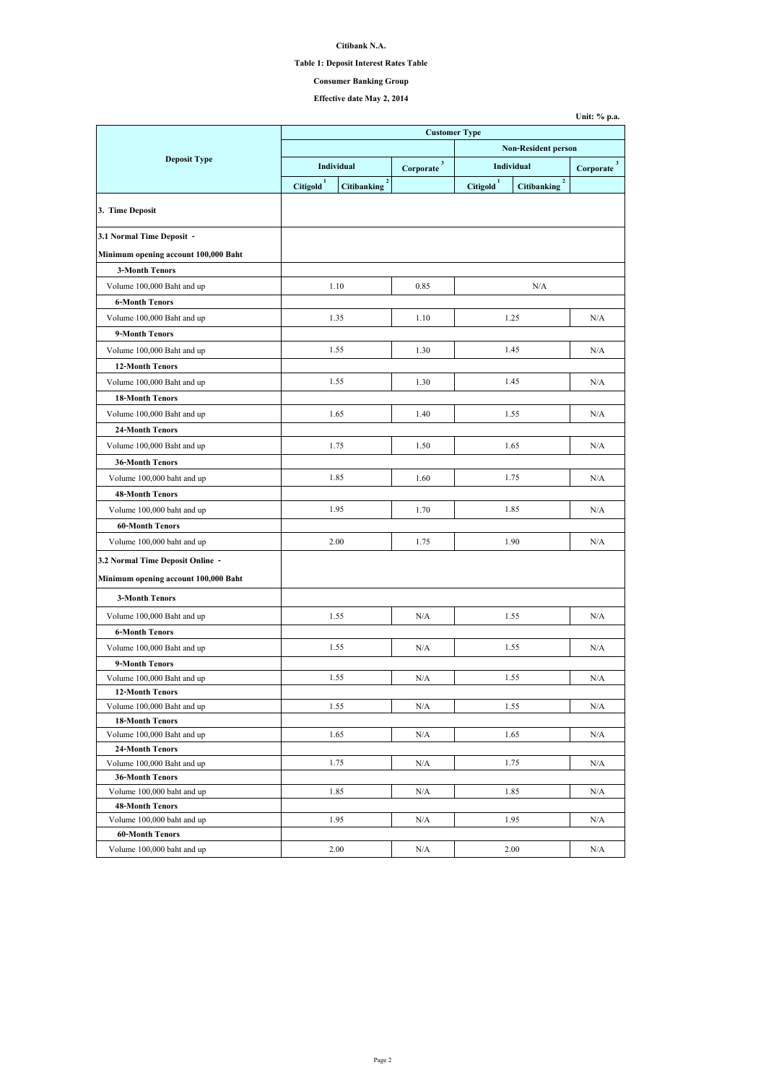**Citibank N.A.**

#### **Table 1: Deposit Interest Rates Table**

## **Effective date May 2, 2014**

|                                                                          | <b>Customer Type</b>            |                                      |                             |                       |                                   |                          |
|--------------------------------------------------------------------------|---------------------------------|--------------------------------------|-----------------------------|-----------------------|-----------------------------------|--------------------------|
|                                                                          |                                 |                                      | <b>Non-Resident person</b>  |                       |                                   |                          |
| <b>Deposit Type</b>                                                      | Individual                      |                                      | 3 <sup>1</sup><br>Corporate | Individual            |                                   | $3^{\circ}$<br>Corporate |
|                                                                          | $\mathbf{1}$<br><b>Citigold</b> | $\overline{2}$<br><b>Citibanking</b> |                             | Citigold <sup>1</sup> | $2^{\circ}$<br><b>Citibanking</b> |                          |
| 3. Time Deposit                                                          |                                 |                                      |                             |                       |                                   |                          |
| 3.1 Normal Time Deposit -                                                |                                 |                                      |                             |                       |                                   |                          |
| Minimum opening account 100,000 Baht                                     |                                 |                                      |                             |                       |                                   |                          |
| <b>3-Month Tenors</b>                                                    |                                 |                                      |                             |                       |                                   |                          |
| Volume 100,000 Baht and up                                               |                                 | 1.10                                 | 0.85                        |                       | N/A                               |                          |
| <b>6-Month Tenors</b>                                                    |                                 |                                      |                             |                       |                                   |                          |
| Volume 100,000 Baht and up                                               |                                 | 1.35                                 | 1.10                        |                       | 1.25                              | N/A                      |
| 9-Month Tenors                                                           |                                 |                                      |                             |                       |                                   |                          |
| Volume 100,000 Baht and up                                               |                                 | 1.55                                 | 1.30                        |                       | 1.45                              | N/A                      |
| <b>12-Month Tenors</b>                                                   |                                 |                                      |                             |                       |                                   |                          |
| Volume 100,000 Baht and up                                               |                                 | 1.55                                 | 1.30                        |                       | 1.45                              | N/A                      |
| <b>18-Month Tenors</b>                                                   |                                 |                                      |                             |                       |                                   |                          |
| Volume 100,000 Baht and up                                               |                                 | 1.65                                 | 1.40                        |                       | 1.55                              | N/A                      |
| <b>24-Month Tenors</b>                                                   |                                 |                                      |                             |                       |                                   |                          |
| Volume 100,000 Baht and up                                               |                                 | 1.75                                 | 1.50                        |                       | 1.65                              | N/A                      |
| <b>36-Month Tenors</b>                                                   |                                 |                                      |                             |                       |                                   |                          |
| Volume 100,000 baht and up                                               |                                 | 1.85                                 | 1.60                        |                       | 1.75                              | N/A                      |
| <b>48-Month Tenors</b>                                                   |                                 |                                      |                             |                       |                                   |                          |
| Volume 100,000 baht and up                                               |                                 | 1.95                                 | 1.70                        |                       | 1.85                              | N/A                      |
| <b>60-Month Tenors</b>                                                   |                                 |                                      |                             |                       |                                   |                          |
| Volume 100,000 baht and up                                               |                                 | 2.00                                 | 1.75                        |                       | 1.90                              | N/A                      |
|                                                                          |                                 |                                      |                             |                       |                                   |                          |
| 3.2 Normal Time Deposit Online -<br>Minimum opening account 100,000 Baht |                                 |                                      |                             |                       |                                   |                          |
| <b>3-Month Tenors</b>                                                    |                                 |                                      |                             |                       |                                   |                          |
| Volume 100,000 Baht and up                                               |                                 | 1.55                                 | N/A                         |                       | 1.55                              | N/A                      |
| <b>6-Month Tenors</b>                                                    |                                 |                                      |                             |                       |                                   |                          |
| Volume 100,000 Baht and up                                               |                                 | 1.55                                 | N/A                         |                       | 1.55                              | N/A                      |
| 9-Month Tenors                                                           |                                 |                                      |                             |                       |                                   |                          |
| Volume 100,000 Baht and up                                               |                                 | 1.55                                 | N/A                         |                       | 1.55                              | N/A                      |
| <b>12-Month Tenors</b>                                                   |                                 |                                      |                             |                       |                                   |                          |
| Volume 100,000 Baht and up                                               |                                 | 1.55                                 | N/A                         |                       | 1.55                              | N/A                      |
| <b>18-Month Tenors</b>                                                   |                                 |                                      |                             |                       |                                   |                          |
| Volume 100,000 Baht and up                                               |                                 | 1.65                                 | N/A                         |                       | 1.65                              | N/A                      |
| <b>24-Month Tenors</b>                                                   |                                 |                                      |                             |                       |                                   |                          |
| Volume 100,000 Baht and up                                               |                                 | 1.75                                 | N/A                         |                       | 1.75                              | N/A                      |
| <b>36-Month Tenors</b>                                                   |                                 | 1.85                                 |                             |                       | 1.85                              |                          |
| Volume 100,000 baht and up<br><b>48-Month Tenors</b>                     |                                 |                                      | N/A                         |                       |                                   | N/A                      |
| Volume 100,000 baht and up                                               |                                 | 1.95                                 | N/A                         |                       | 1.95                              | N/A                      |
| <b>60-Month Tenors</b>                                                   |                                 |                                      |                             |                       |                                   |                          |
| Volume 100,000 baht and up                                               |                                 | 2.00                                 | N/A                         |                       | 2.00                              | N/A                      |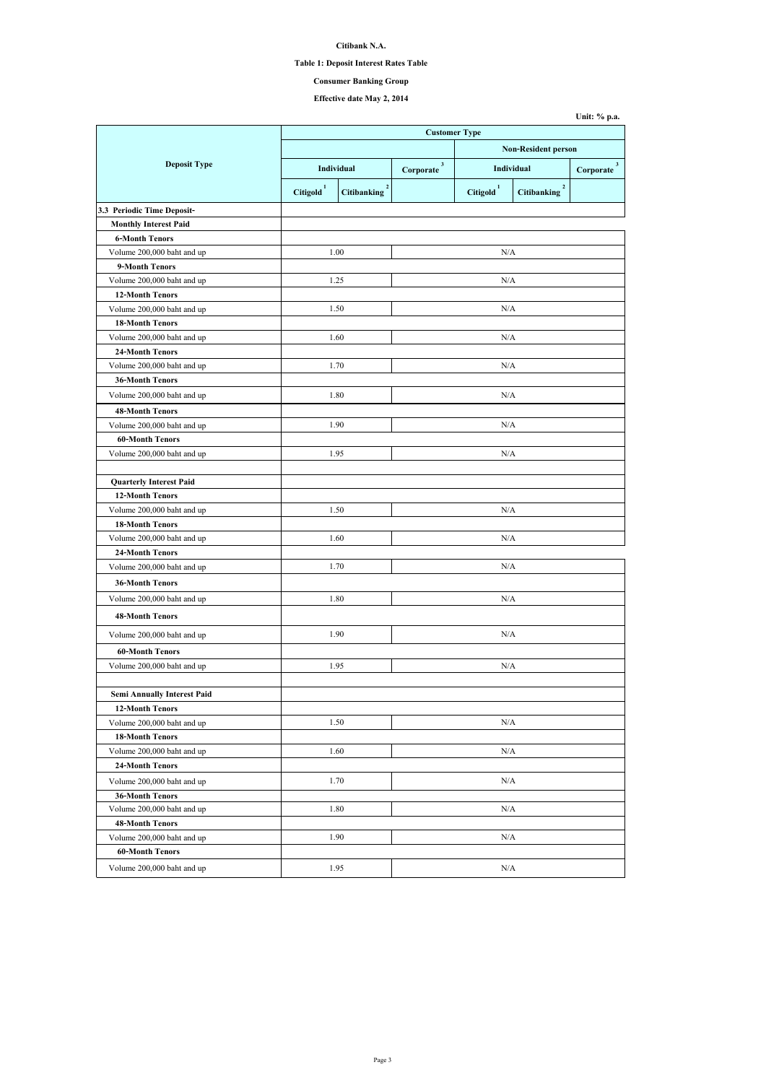**Citibank N.A.**

#### **Table 1: Deposit Interest Rates Table**

## **Effective date May 2, 2014**

| <b>Customer Type</b>               |                       |                                      |                            |                       |                                      |                           |  |  |
|------------------------------------|-----------------------|--------------------------------------|----------------------------|-----------------------|--------------------------------------|---------------------------|--|--|
|                                    |                       |                                      | <b>Non-Resident person</b> |                       |                                      |                           |  |  |
| <b>Deposit Type</b>                | <b>Individual</b>     |                                      | $\mathbf{3}$<br>Corporate  | <b>Individual</b>     |                                      | $\mathbf{3}$<br>Corporate |  |  |
|                                    | Citigold <sup>1</sup> | $\overline{2}$<br><b>Citibanking</b> |                            | Citigold <sup>1</sup> | $\overline{2}$<br><b>Citibanking</b> |                           |  |  |
| 3.3 Periodic Time Deposit-         |                       |                                      |                            |                       |                                      |                           |  |  |
| <b>Monthly Interest Paid</b>       |                       |                                      |                            |                       |                                      |                           |  |  |
| <b>6-Month Tenors</b>              |                       |                                      |                            |                       |                                      |                           |  |  |
| Volume 200,000 baht and up         |                       | 1.00                                 |                            | N/A                   |                                      |                           |  |  |
| 9-Month Tenors                     |                       |                                      |                            |                       |                                      |                           |  |  |
| Volume 200,000 baht and up         |                       | 1.25                                 |                            | N/A                   |                                      |                           |  |  |
| <b>12-Month Tenors</b>             |                       |                                      |                            |                       |                                      |                           |  |  |
| Volume 200,000 baht and up         |                       | 1.50                                 |                            | N/A                   |                                      |                           |  |  |
| <b>18-Month Tenors</b>             |                       |                                      |                            |                       |                                      |                           |  |  |
| Volume 200,000 baht and up         |                       | 1.60                                 |                            | N/A                   |                                      |                           |  |  |
| <b>24-Month Tenors</b>             |                       |                                      |                            |                       |                                      |                           |  |  |
| Volume 200,000 baht and up         |                       | 1.70                                 |                            | N/A                   |                                      |                           |  |  |
| <b>36-Month Tenors</b>             |                       |                                      |                            |                       |                                      |                           |  |  |
| Volume 200,000 baht and up         |                       | 1.80                                 |                            | N/A                   |                                      |                           |  |  |
| <b>48-Month Tenors</b>             |                       |                                      |                            |                       |                                      |                           |  |  |
| Volume 200,000 baht and up         |                       | 1.90                                 |                            | N/A                   |                                      |                           |  |  |
| <b>60-Month Tenors</b>             |                       |                                      |                            |                       |                                      |                           |  |  |
| Volume 200,000 baht and up         |                       | 1.95                                 | N/A                        |                       |                                      |                           |  |  |
|                                    |                       |                                      |                            |                       |                                      |                           |  |  |
| <b>Quarterly Interest Paid</b>     |                       |                                      |                            |                       |                                      |                           |  |  |
| <b>12-Month Tenors</b>             |                       |                                      |                            |                       |                                      |                           |  |  |
| Volume 200,000 baht and up         |                       | 1.50                                 |                            | N/A                   |                                      |                           |  |  |
| <b>18-Month Tenors</b>             |                       |                                      |                            |                       |                                      |                           |  |  |
| Volume 200,000 baht and up         |                       | 1.60                                 |                            | N/A                   |                                      |                           |  |  |
| <b>24-Month Tenors</b>             |                       |                                      |                            |                       |                                      |                           |  |  |
| Volume 200,000 baht and up         |                       | 1.70                                 | N/A                        |                       |                                      |                           |  |  |
| <b>36-Month Tenors</b>             |                       |                                      |                            |                       |                                      |                           |  |  |
| Volume 200,000 baht and up         |                       | 1.80                                 |                            | N/A                   |                                      |                           |  |  |
| <b>48-Month Tenors</b>             |                       |                                      |                            |                       |                                      |                           |  |  |
| Volume 200,000 baht and up         |                       | 1.90                                 | N/A                        |                       |                                      |                           |  |  |
| <b>60-Month Tenors</b>             |                       |                                      |                            |                       |                                      |                           |  |  |
| Volume 200,000 baht and up         |                       | 1.95                                 | N/A                        |                       |                                      |                           |  |  |
|                                    |                       |                                      |                            |                       |                                      |                           |  |  |
| <b>Semi Annually Interest Paid</b> |                       |                                      |                            |                       |                                      |                           |  |  |
| <b>12-Month Tenors</b>             |                       |                                      |                            |                       |                                      |                           |  |  |
| Volume 200,000 baht and up         |                       | 1.50                                 |                            | N/A                   |                                      |                           |  |  |
| <b>18-Month Tenors</b>             |                       |                                      |                            |                       |                                      |                           |  |  |
| Volume 200,000 baht and up         |                       | 1.60                                 | N/A                        |                       |                                      |                           |  |  |
| <b>24-Month Tenors</b>             |                       |                                      |                            |                       |                                      |                           |  |  |
| Volume 200,000 baht and up         |                       | 1.70                                 | N/A                        |                       |                                      |                           |  |  |
| <b>36-Month Tenors</b>             |                       |                                      |                            |                       |                                      |                           |  |  |
| Volume 200,000 baht and up         |                       | 1.80                                 |                            | N/A                   |                                      |                           |  |  |
| <b>48-Month Tenors</b>             |                       |                                      |                            |                       |                                      |                           |  |  |
| Volume 200,000 baht and up         |                       | 1.90                                 |                            | N/A                   |                                      |                           |  |  |
| <b>60-Month Tenors</b>             |                       |                                      |                            |                       |                                      |                           |  |  |
| Volume 200,000 baht and up         | 1.95                  |                                      | N/A                        |                       |                                      |                           |  |  |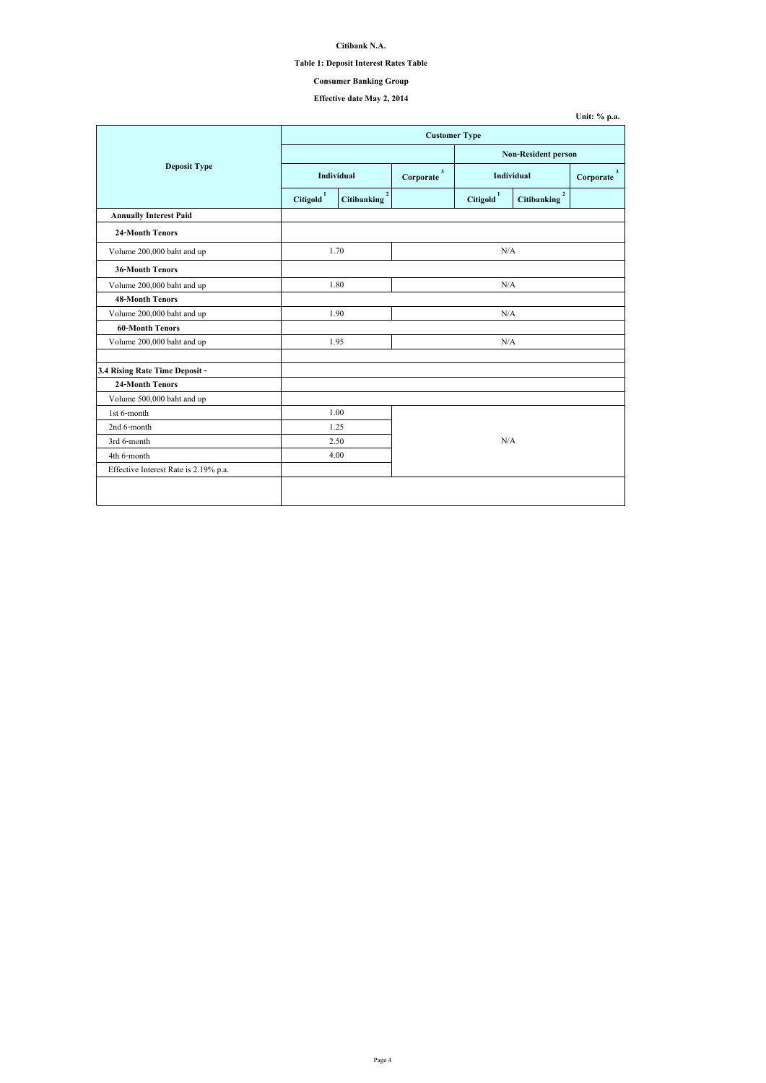**Citibank N.A.**

#### **Table 1: Deposit Interest Rates Table**

# **Effective date May 2, 2014**

|                                       |                       | <b>Customer Type</b>                 |     |                       |                                      |  |  |  |
|---------------------------------------|-----------------------|--------------------------------------|-----|-----------------------|--------------------------------------|--|--|--|
|                                       |                       |                                      |     |                       | <b>Non-Resident person</b>           |  |  |  |
| <b>Deposit Type</b>                   |                       | Individual                           |     |                       | <b>Individual</b>                    |  |  |  |
|                                       | Citigold <sup>1</sup> | 2 <sup>1</sup><br><b>Citibanking</b> |     | Citigold <sup>1</sup> | $\overline{2}$<br><b>Citibanking</b> |  |  |  |
| <b>Annually Interest Paid</b>         |                       |                                      |     |                       |                                      |  |  |  |
| <b>24-Month Tenors</b>                |                       |                                      |     |                       |                                      |  |  |  |
| Volume 200,000 baht and up            |                       | 1.70                                 |     | N/A                   |                                      |  |  |  |
| <b>36-Month Tenors</b>                |                       |                                      |     |                       |                                      |  |  |  |
| Volume 200,000 baht and up            |                       | 1.80                                 |     | N/A                   |                                      |  |  |  |
| <b>48-Month Tenors</b>                |                       |                                      |     |                       |                                      |  |  |  |
| Volume 200,000 baht and up            |                       | 1.90                                 | N/A |                       |                                      |  |  |  |
| <b>60-Month Tenors</b>                |                       |                                      |     |                       |                                      |  |  |  |
| Volume 200,000 baht and up            |                       | 1.95                                 |     | N/A                   |                                      |  |  |  |
| 3.4 Rising Rate Time Deposit -        |                       |                                      |     |                       |                                      |  |  |  |
| <b>24-Month Tenors</b>                |                       |                                      |     |                       |                                      |  |  |  |
| Volume 500,000 baht and up            |                       |                                      |     |                       |                                      |  |  |  |
| 1st 6-month                           |                       | 1.00                                 |     |                       |                                      |  |  |  |
| 2nd 6-month                           |                       | 1.25                                 |     |                       |                                      |  |  |  |
| 3rd 6-month                           |                       | 2.50                                 |     | N/A                   |                                      |  |  |  |
| 4th 6-month                           |                       | 4.00                                 |     |                       |                                      |  |  |  |
| Effective Interest Rate is 2.19% p.a. |                       |                                      |     |                       |                                      |  |  |  |
|                                       |                       |                                      |     |                       |                                      |  |  |  |
|                                       |                       |                                      |     |                       |                                      |  |  |  |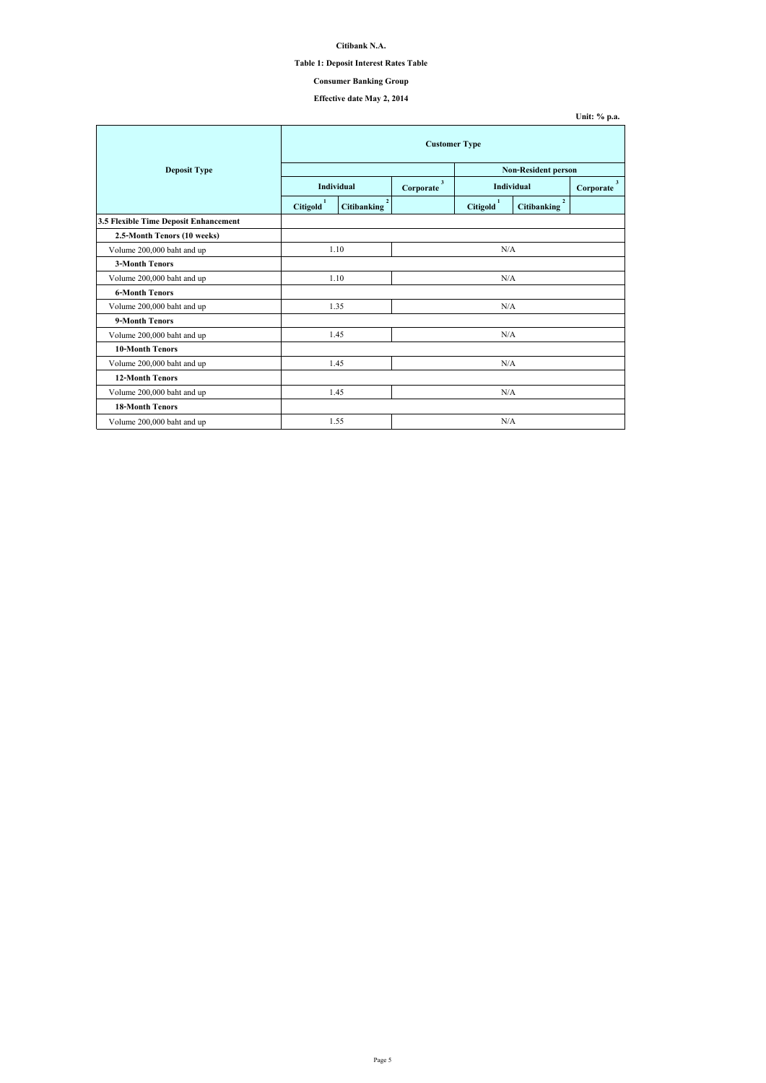**Citibank N.A.**

#### **Table 1: Deposit Interest Rates Table**

## **Effective date May 2, 2014**

| <b>Deposit Type</b>                   |                       |                                      |                           |                       | <b>Non-Resident person</b>           |                           |  |
|---------------------------------------|-----------------------|--------------------------------------|---------------------------|-----------------------|--------------------------------------|---------------------------|--|
|                                       | Individual            |                                      | $\mathbf{3}$<br>Corporate | <b>Individual</b>     |                                      | $\mathbf{3}$<br>Corporate |  |
|                                       | Citigold <sup>1</sup> | $\overline{2}$<br><b>Citibanking</b> |                           | Citigold <sup>1</sup> | $\overline{2}$<br><b>Citibanking</b> |                           |  |
| 3.5 Flexible Time Deposit Enhancement |                       |                                      |                           |                       |                                      |                           |  |
| 2.5-Month Tenors (10 weeks)           |                       |                                      |                           |                       |                                      |                           |  |
| Volume 200,000 baht and up            |                       | 1.10                                 |                           | N/A                   |                                      |                           |  |
| <b>3-Month Tenors</b>                 |                       |                                      |                           |                       |                                      |                           |  |
| Volume 200,000 baht and up            | 1.10                  |                                      | N/A                       |                       |                                      |                           |  |
| <b>6-Month Tenors</b>                 |                       |                                      |                           |                       |                                      |                           |  |
| Volume 200,000 baht and up            | 1.35                  |                                      | N/A                       |                       |                                      |                           |  |
| 9-Month Tenors                        |                       |                                      |                           |                       |                                      |                           |  |
| Volume 200,000 baht and up            |                       | 1.45                                 | N/A                       |                       |                                      |                           |  |
| <b>10-Month Tenors</b>                |                       |                                      |                           |                       |                                      |                           |  |
| Volume 200,000 baht and up            | 1.45                  |                                      | N/A                       |                       |                                      |                           |  |
| <b>12-Month Tenors</b>                |                       |                                      |                           |                       |                                      |                           |  |
| Volume 200,000 baht and up            |                       | 1.45                                 | N/A                       |                       |                                      |                           |  |
| <b>18-Month Tenors</b>                |                       |                                      |                           |                       |                                      |                           |  |
| Volume 200,000 baht and up            |                       | 1.55                                 |                           | N/A                   |                                      |                           |  |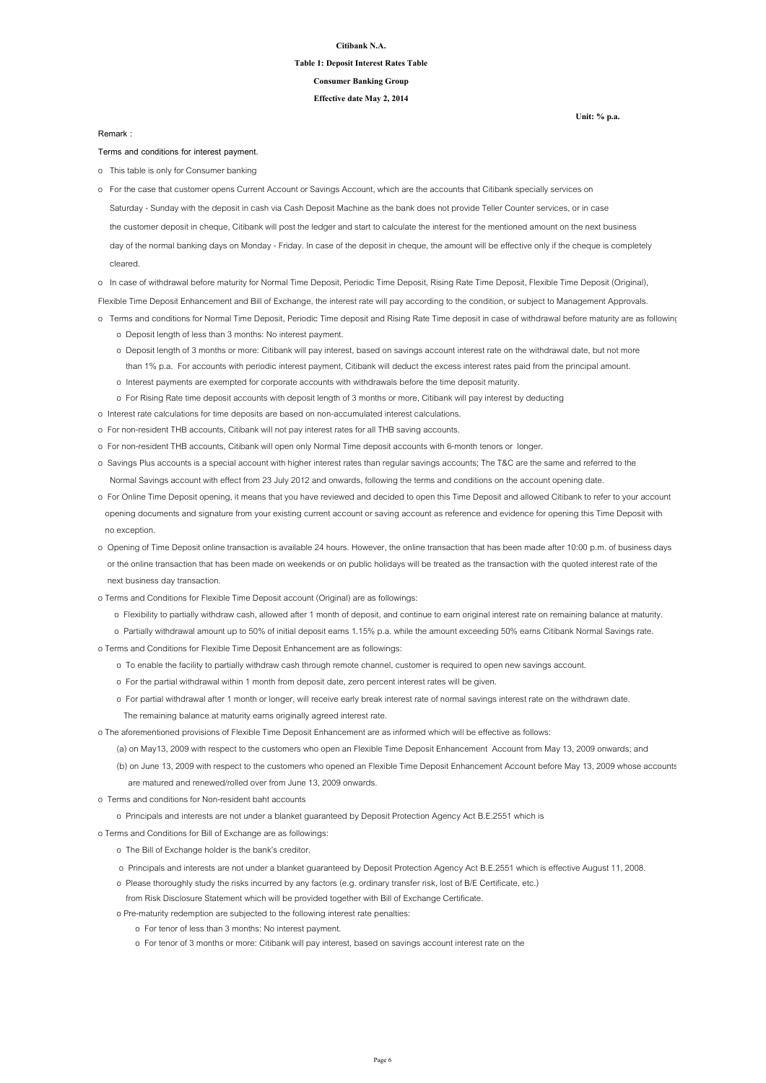#### **Citibank N.A.**

## **Table 1: Deposit Interest Rates Table Consumer Banking Group**

**Effective date May 2, 2014**

**Terms and conditions for interest payment.**

o This table is only for Consumer banking

o In case of withdrawal before maturity for Normal Time Deposit, Periodic Time Deposit, Rising Rate Time Deposit, Flexible Time Deposit (Original),

Flexible Time Deposit Enhancement and Bill of Exchange, the interest rate will pay according to the condition, or subject to Management Approvals.

- o Terms and conditions for Normal Time Deposit, Periodic Time deposit and Rising Rate Time deposit in case of withdrawal before maturity are as followings:
	- o Deposit length of less than 3 months: No interest payment.
	- o Deposit length of 3 months or more: Citibank will pay interest, based on savings account interest rate on the withdrawal date, but not more than 1% p.a. For accounts with periodic interest payment, Citibank will deduct the excess interest rates paid from the principal amount.
	- o Interest payments are exempted for corporate accounts with withdrawals before the time deposit maturity.
	- o For Rising Rate time deposit accounts with deposit length of 3 months or more, Citibank will pay interest by deducting
- o Interest rate calculations for time deposits are based on non-accumulated interest calculations.
- o For non-resident THB accounts, Citibank will not pay interest rates for all THB saving accounts.
- o For non-resident THB accounts, Citibank will open only Normal Time deposit accounts with 6-month tenors or longer.
- o Savings Plus accounts is a special account with higher interest rates than regular savings accounts; The T&C are the same and referred to the Normal Savings account with effect from 23 July 2012 and onwards, following the terms and conditions on the account opening date.
- o For Online Time Deposit opening, it means that you have reviewed and decided to open this Time Deposit and allowed Citibank to refer to your account opening documents and signature from your existing current account or saving account as reference and evidence for opening this Time Deposit with no exception.
- o Opening of Time Deposit online transaction is available 24 hours. However, the online transaction that has been made after 10:00 p.m. of business days or the online transaction that has been made on weekends or on public holidays will be treated as the transaction with the quoted interest rate of the

 Saturday - Sunday with the deposit in cash via Cash Deposit Machine as the bank does not provide Teller Counter services, or in case the customer deposit in cheque, Citibank will post the ledger and start to calculate the interest for the mentioned amount on the next business day of the normal banking days on Monday - Friday. In case of the deposit in cheque, the amount will be effective only if the cheque is completely cleared. o For the case that customer opens Current Account or Savings Account, which are the accounts that Citibank specially services on

next business day transaction.

- o Terms and Conditions for Flexible Time Deposit account (Original) are as followings:
	- o Flexibility to partially withdraw cash, allowed after 1 month of deposit, and continue to earn original interest rate on remaining balance at maturity.
	- o Partially withdrawal amount up to 50% of initial deposit earns 1.15% p.a. while the amount exceeding 50% earns Citibank Normal Savings rate.
- o Terms and Conditions for Flexible Time Deposit Enhancement are as followings:
	- o To enable the facility to partially withdraw cash through remote channel, customer is required to open new savings account.
	- o For the partial withdrawal within 1 month from deposit date, zero percent interest rates will be given.
	- o For partial withdrawal after 1 month or longer, will receive early break interest rate of normal savings interest rate on the withdrawn date.
		- The remaining balance at maturity earns originally agreed interest rate.
- o The aforementioned provisions of Flexible Time Deposit Enhancement are as informed which will be effective as follows:
	- (a) on May13, 2009 with respect to the customers who open an Flexible Time Deposit Enhancement Account from May 13, 2009 onwards; and
	- (b) on June 13, 2009 with respect to the customers who opened an Flexible Time Deposit Enhancement Account before May 13, 2009 whose accounts are matured and renewed/rolled over from June 13, 2009 onwards.
- o Terms and conditions for Non-resident baht accounts
	- o Principals and interests are not under a blanket guaranteed by Deposit Protection Agency Act B.E.2551 which is
- o Terms and Conditions for Bill of Exchange are as followings:
	- o The Bill of Exchange holder is the bank's creditor.
	- o Principals and interests are not under a blanket guaranteed by Deposit Protection Agency Act B.E.2551 which is effective August 11, 2008.
	- o Please thoroughly study the risks incurred by any factors (e.g. ordinary transfer risk, lost of B/E Certificate, etc.)
	- from Risk Disclosure Statement which will be provided together with Bill of Exchange Certificate.
	- o Pre-maturity redemption are subjected to the following interest rate penalties:
		- o For tenor of less than 3 months: No interest payment.
		- o For tenor of 3 months or more: Citibank will pay interest, based on savings account interest rate on the

**Remark :**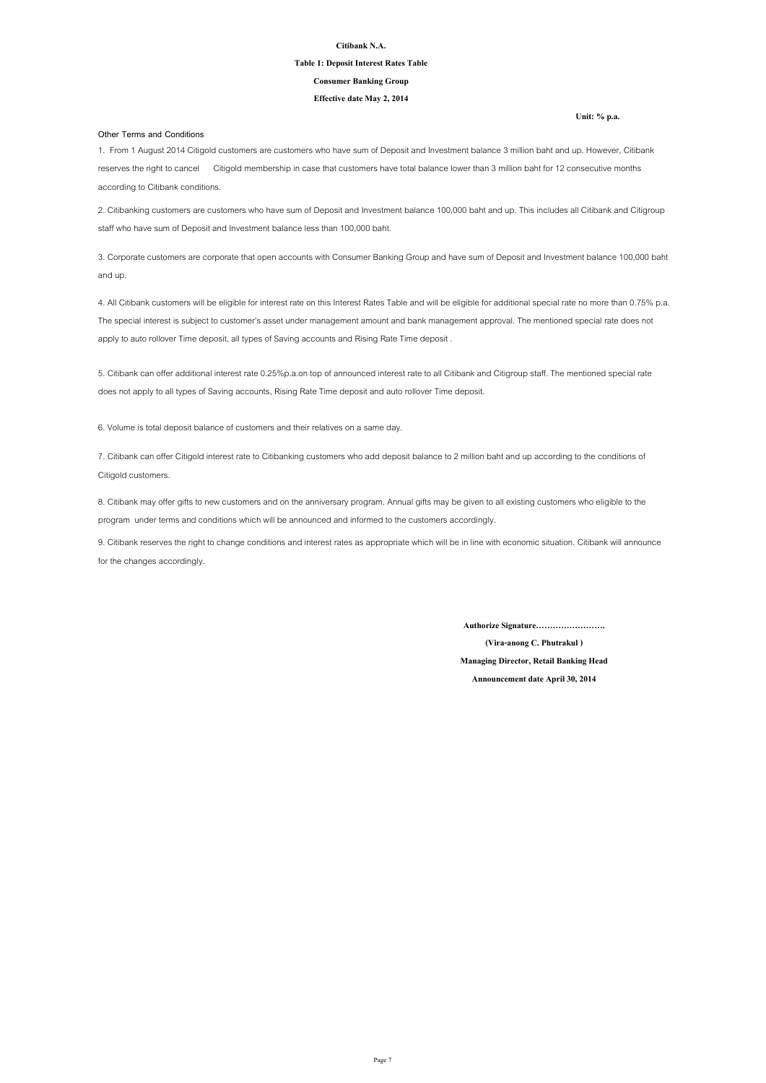#### **Citibank N.A.**

## **Table 1: Deposit Interest Rates Table Consumer Banking Group**

**Effective date May 2, 2014**

#### **Other Terms and Conditions**

8. Citibank may offer gifts to new customers and on the anniversary program. Annual gifts may be given to all existing customers who eligible to the program under terms and conditions which will be announced and informed to the customers accordingly.

9. Citibank reserves the right to change conditions and interest rates as appropriate which will be in line with economic situation. Citibank will announce for the changes accordingly.

1. From 1 August 2014 Citigold customers are customers who have sum of Deposit and Investment balance 3 million baht and up. However, Citibank reserves the right to cancel Citigold membership in case that customers have total balance lower than 3 million baht for 12 consecutive months according to Citibank conditions.

2. Citibanking customers are customers who have sum of Deposit and Investment balance 100,000 baht and up. This includes all Citibank and Citigroup staff who have sum of Deposit and Investment balance less than 100,000 baht.

3. Corporate customers are corporate that open accounts with Consumer Banking Group and have sum of Deposit and Investment balance 100,000 baht and up.

4. All Citibank customers will be eligible for interest rate on this Interest Rates Table and will be eligible for additional special rate no more than 0.75% p.a. The special interest is subject to customer's asset under management amount and bank management approval. The mentioned special rate does not apply to auto rollover Time deposit, all types of Saving accounts and Rising Rate Time deposit .

5. Citibank can offer additional interest rate 0.25%p.a.on top of announced interest rate to all Citibank and Citigroup staff. The mentioned special rate does not apply to all types of Saving accounts, Rising Rate Time deposit and auto rollover Time deposit.

7. Citibank can offer Citigold interest rate to Citibanking customers who add deposit balance to 2 million baht and up according to the conditions of Citigold customers.

6. Volume is total deposit balance of customers and their relatives on a same day.

**Authorize Signature…………………….**

**(Vira-anong C. Phutrakul )**

**Managing Director, Retail Banking Head**

**Announcement date April 30, 2014**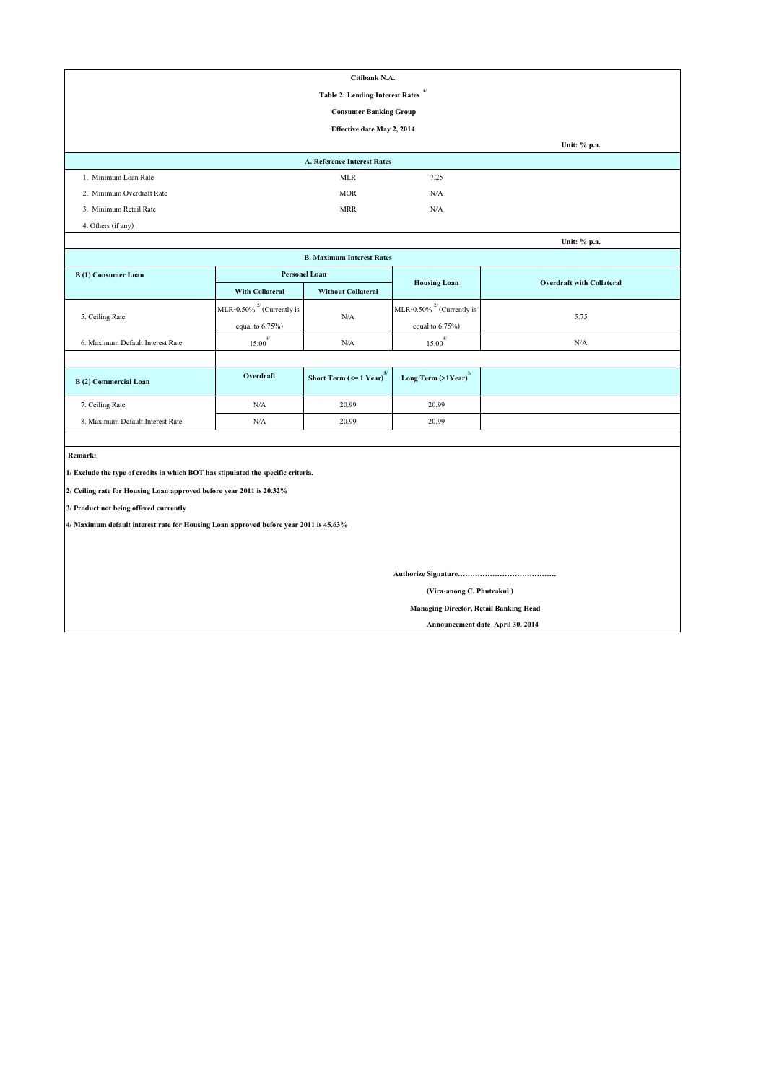| Citibank N.A.                                                                         |                                 |                                                           |                                     |                                  |  |  |  |  |
|---------------------------------------------------------------------------------------|---------------------------------|-----------------------------------------------------------|-------------------------------------|----------------------------------|--|--|--|--|
| 1/<br><b>Table 2: Lending Interest Rates</b>                                          |                                 |                                                           |                                     |                                  |  |  |  |  |
| <b>Consumer Banking Group</b>                                                         |                                 |                                                           |                                     |                                  |  |  |  |  |
| <b>Effective date May 2, 2014</b>                                                     |                                 |                                                           |                                     |                                  |  |  |  |  |
|                                                                                       |                                 |                                                           |                                     | Unit: % p.a.                     |  |  |  |  |
|                                                                                       |                                 | <b>A. Reference Interest Rates</b>                        |                                     |                                  |  |  |  |  |
| 1. Minimum Loan Rate                                                                  |                                 | <b>MLR</b>                                                | 7.25                                |                                  |  |  |  |  |
| 2. Minimum Overdraft Rate                                                             |                                 | <b>MOR</b>                                                | N/A                                 |                                  |  |  |  |  |
| 3. Minimum Retail Rate                                                                |                                 | <b>MRR</b>                                                | N/A                                 |                                  |  |  |  |  |
| 4. Others (if any)                                                                    |                                 |                                                           |                                     |                                  |  |  |  |  |
|                                                                                       |                                 |                                                           |                                     | Unit: % p.a.                     |  |  |  |  |
|                                                                                       |                                 | <b>B. Maximum Interest Rates</b>                          |                                     |                                  |  |  |  |  |
| <b>B</b> (1) Consumer Loan                                                            | <b>Personel Loan</b>            |                                                           |                                     |                                  |  |  |  |  |
|                                                                                       | <b>With Collateral</b>          | <b>Without Collateral</b>                                 | <b>Housing Loan</b>                 | <b>Overdraft with Collateral</b> |  |  |  |  |
|                                                                                       | MLR-0.50% $^{27}$ (Currently is |                                                           | MLR-0.50% $^{27}$ (Currently is     |                                  |  |  |  |  |
| 5. Ceiling Rate                                                                       | equal to $6.75\%$ )             | N/A                                                       | equal to $6.75\%$ )                 | 5.75                             |  |  |  |  |
| 6. Maximum Default Interest Rate                                                      | $15.00^{4/}$                    | N/A                                                       | $15.00^{4/}$                        | N/A                              |  |  |  |  |
|                                                                                       |                                 |                                                           |                                     |                                  |  |  |  |  |
| <b>B</b> (2) Commercial Loan                                                          | Overdraft                       | <b>Short Term (<math>\le</math> 1 Year)</b> <sup>3/</sup> | Long Term $(>1$ Year) <sup>3/</sup> |                                  |  |  |  |  |
| 7. Ceiling Rate                                                                       | $\rm N/A$                       | 20.99                                                     | 20.99                               |                                  |  |  |  |  |
| 8. Maximum Default Interest Rate                                                      | $\rm N/A$                       | 20.99                                                     | 20.99                               |                                  |  |  |  |  |
|                                                                                       |                                 |                                                           |                                     |                                  |  |  |  |  |
| Remark:                                                                               |                                 |                                                           |                                     |                                  |  |  |  |  |
| 1/ Exclude the type of credits in which BOT has stipulated the specific criteria.     |                                 |                                                           |                                     |                                  |  |  |  |  |
| 2/ Ceiling rate for Housing Loan approved before year 2011 is 20.32%                  |                                 |                                                           |                                     |                                  |  |  |  |  |
| 3/ Product not being offered currently                                                |                                 |                                                           |                                     |                                  |  |  |  |  |
| 4/ Maximum default interest rate for Housing Loan approved before year 2011 is 45.63% |                                 |                                                           |                                     |                                  |  |  |  |  |
|                                                                                       |                                 |                                                           |                                     |                                  |  |  |  |  |
|                                                                                       |                                 |                                                           |                                     |                                  |  |  |  |  |
|                                                                                       |                                 |                                                           |                                     |                                  |  |  |  |  |
| (Vira-anong C. Phutrakul)                                                             |                                 |                                                           |                                     |                                  |  |  |  |  |
| <b>Managing Director, Retail Banking Head</b>                                         |                                 |                                                           |                                     |                                  |  |  |  |  |

 **Announcement date April 30, 2014**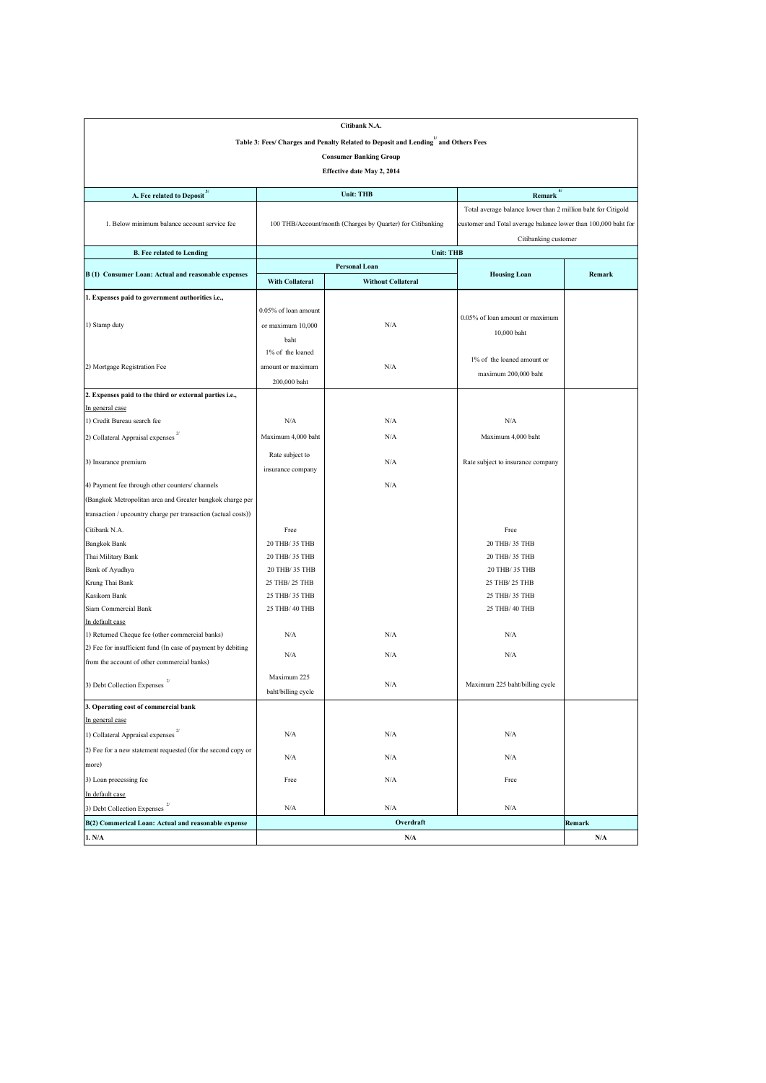| Citibank N.A.                                                                                  |                        |                                                            |                                                                |               |  |  |  |  |
|------------------------------------------------------------------------------------------------|------------------------|------------------------------------------------------------|----------------------------------------------------------------|---------------|--|--|--|--|
| Table 3: Fees/ Charges and Penalty Related to Deposit and Lending <sup>1</sup> and Others Fees |                        |                                                            |                                                                |               |  |  |  |  |
|                                                                                                |                        | <b>Consumer Banking Group</b>                              |                                                                |               |  |  |  |  |
| <b>Effective date May 2, 2014</b>                                                              |                        |                                                            |                                                                |               |  |  |  |  |
|                                                                                                |                        |                                                            |                                                                |               |  |  |  |  |
| <b>A. Fee related to Deposit</b> $3/$                                                          |                        | <b>Unit: THB</b>                                           | $Remark$ <sup>4/</sup>                                         |               |  |  |  |  |
|                                                                                                |                        |                                                            | Total average balance lower than 2 million baht for Citigold   |               |  |  |  |  |
| 1. Below minimum balance account service fee                                                   |                        | 100 THB/Account/month (Charges by Quarter) for Citibanking | customer and Total average balance lower than 100,000 baht for |               |  |  |  |  |
|                                                                                                |                        | Citibanking customer                                       |                                                                |               |  |  |  |  |
| <b>B.</b> Fee related to Lending                                                               |                        | <b>Unit: THB</b>                                           |                                                                |               |  |  |  |  |
|                                                                                                |                        | <b>Personal Loan</b>                                       |                                                                |               |  |  |  |  |
| B (1) Consumer Loan: Actual and reasonable expenses                                            | <b>With Collateral</b> | <b>Without Collateral</b>                                  | <b>Housing Loan</b>                                            | <b>Remark</b> |  |  |  |  |
| 1. Expenses paid to government authorities i.e.,                                               |                        |                                                            |                                                                |               |  |  |  |  |
|                                                                                                | 0.05% of loan amount   |                                                            |                                                                |               |  |  |  |  |
| 1) Stamp duty                                                                                  | or maximum 10,000      | N/A                                                        | 0.05% of loan amount or maximum                                |               |  |  |  |  |
|                                                                                                | baht                   |                                                            | 10,000 baht                                                    |               |  |  |  |  |
|                                                                                                | 1% of the loaned       |                                                            |                                                                |               |  |  |  |  |
| 2) Mortgage Registration Fee                                                                   | amount or maximum      | N/A                                                        | $1\%$ of the loaned amount or                                  |               |  |  |  |  |
|                                                                                                | 200,000 baht           |                                                            | maximum 200,000 baht                                           |               |  |  |  |  |
| 2. Expenses paid to the third or external parties i.e.,                                        |                        |                                                            |                                                                |               |  |  |  |  |
| In general case                                                                                |                        |                                                            |                                                                |               |  |  |  |  |
| 1) Credit Bureau search fee                                                                    | N/A                    | N/A                                                        | N/A                                                            |               |  |  |  |  |
| 2) Collateral Appraisal expenses                                                               | Maximum 4,000 baht     | N/A                                                        | Maximum 4,000 baht                                             |               |  |  |  |  |
|                                                                                                |                        |                                                            |                                                                |               |  |  |  |  |
| 3) Insurance premium                                                                           | Rate subject to        | N/A                                                        | Rate subject to insurance company                              |               |  |  |  |  |
|                                                                                                | insurance company      |                                                            |                                                                |               |  |  |  |  |
| 4) Payment fee through other counters/channels                                                 |                        | N/A                                                        |                                                                |               |  |  |  |  |
| (Bangkok Metropolitan area and Greater bangkok charge per                                      |                        |                                                            |                                                                |               |  |  |  |  |
| transaction / upcountry charge per transaction (actual costs))                                 |                        |                                                            |                                                                |               |  |  |  |  |
| Citibank N.A.                                                                                  | Free                   |                                                            | Free                                                           |               |  |  |  |  |
| <b>Bangkok Bank</b>                                                                            | 20 THB/ 35 THB         |                                                            | 20 THB/ 35 THB                                                 |               |  |  |  |  |
| Thai Military Bank                                                                             | 20 THB/ 35 THB         |                                                            | 20 THB/ 35 THB                                                 |               |  |  |  |  |
| <b>Bank of Ayudhya</b>                                                                         | 20 THB/ 35 THB         |                                                            | 20 THB/ 35 THB                                                 |               |  |  |  |  |
| Krung Thai Bank                                                                                | 25 THB/ 25 THB         |                                                            | 25 THB/ 25 THB                                                 |               |  |  |  |  |
| Kasikorn Bank                                                                                  | 25 THB/ 35 THB         |                                                            | 25 THB/ 35 THB                                                 |               |  |  |  |  |
| Siam Commercial Bank                                                                           | 25 THB/ 40 THB         |                                                            | 25 THB/ 40 THB                                                 |               |  |  |  |  |
| In default case                                                                                |                        |                                                            |                                                                |               |  |  |  |  |
| 1) Returned Cheque fee (other commercial banks)                                                | N/A                    | N/A                                                        | N/A                                                            |               |  |  |  |  |
| (2) Fee for insufficient fund (In case of payment by debiting                                  | N/A                    | N/A                                                        | N/A                                                            |               |  |  |  |  |
| from the account of other commercial banks)                                                    |                        |                                                            |                                                                |               |  |  |  |  |
| 2/<br>3) Debt Collection Expenses                                                              | Maximum 225            | N/A                                                        | Maximum 225 baht/billing cycle                                 |               |  |  |  |  |
|                                                                                                | baht/billing cycle     |                                                            |                                                                |               |  |  |  |  |
| 3. Operating cost of commercial bank                                                           |                        |                                                            |                                                                |               |  |  |  |  |
| In general case                                                                                |                        |                                                            |                                                                |               |  |  |  |  |
| 1) Collateral Appraisal expenses $2/$                                                          | N/A                    | N/A                                                        | N/A                                                            |               |  |  |  |  |
| (2) Fee for a new statement requested (for the second copy or                                  | N/A                    | N/A                                                        | N/A                                                            |               |  |  |  |  |
| more)                                                                                          |                        |                                                            |                                                                |               |  |  |  |  |
| 3) Loan processing fee                                                                         | Free                   | N/A                                                        | Free                                                           |               |  |  |  |  |
| In default case                                                                                |                        |                                                            |                                                                |               |  |  |  |  |
| 2/<br>3) Debt Collection Expenses                                                              | N/A                    | N/A                                                        | N/A                                                            |               |  |  |  |  |
| B(2) Commerical Loan: Actual and reasonable expense                                            |                        | Overdraft                                                  |                                                                | Remark        |  |  |  |  |
| 1. N/A                                                                                         |                        | N/A                                                        |                                                                | N/A           |  |  |  |  |